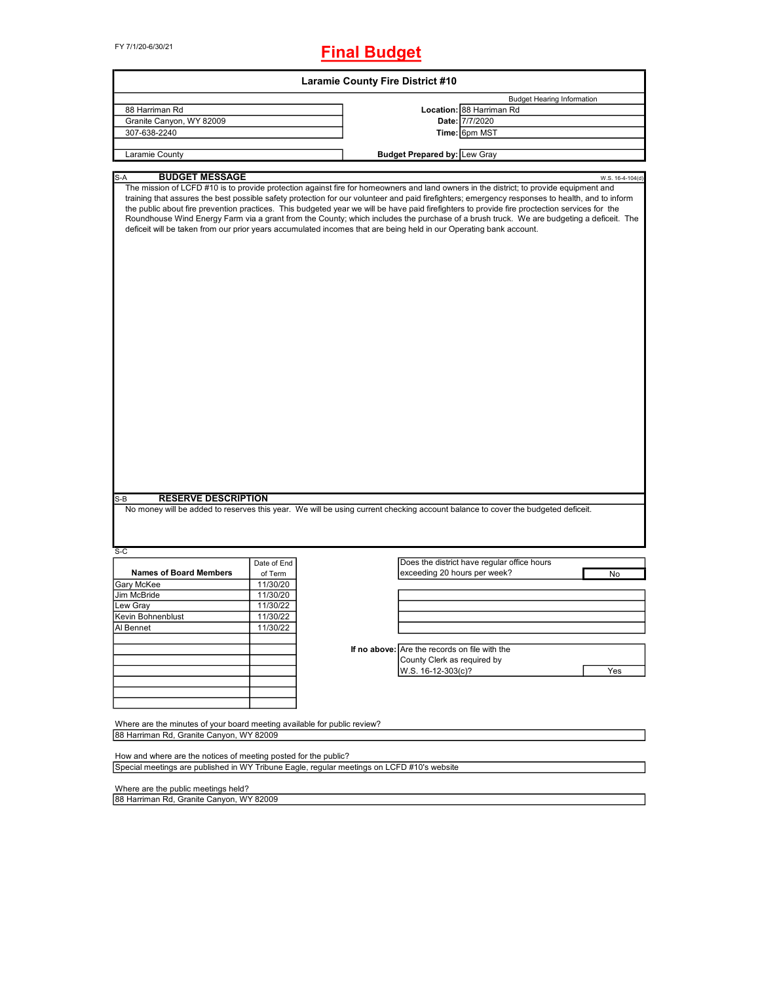FY 7/1/20-6/30/21

## **Final Budget**

|                                                                                                                                                               |             | <b>Laramie County Fire District #10</b> |                                                                                                                                                                                                                                                                                                                                                                                                                                                                                                                                                                                                                                                                                                             |                                   |
|---------------------------------------------------------------------------------------------------------------------------------------------------------------|-------------|-----------------------------------------|-------------------------------------------------------------------------------------------------------------------------------------------------------------------------------------------------------------------------------------------------------------------------------------------------------------------------------------------------------------------------------------------------------------------------------------------------------------------------------------------------------------------------------------------------------------------------------------------------------------------------------------------------------------------------------------------------------------|-----------------------------------|
|                                                                                                                                                               |             |                                         |                                                                                                                                                                                                                                                                                                                                                                                                                                                                                                                                                                                                                                                                                                             | <b>Budget Hearing Information</b> |
| 88 Harriman Rd                                                                                                                                                |             |                                         | Location: 88 Harriman Rd                                                                                                                                                                                                                                                                                                                                                                                                                                                                                                                                                                                                                                                                                    |                                   |
| Granite Canyon, WY 82009                                                                                                                                      |             |                                         | Date: 7/7/2020                                                                                                                                                                                                                                                                                                                                                                                                                                                                                                                                                                                                                                                                                              |                                   |
| 307-638-2240                                                                                                                                                  |             |                                         | Time: 6pm MST                                                                                                                                                                                                                                                                                                                                                                                                                                                                                                                                                                                                                                                                                               |                                   |
|                                                                                                                                                               |             |                                         |                                                                                                                                                                                                                                                                                                                                                                                                                                                                                                                                                                                                                                                                                                             |                                   |
| Laramie County                                                                                                                                                |             |                                         | <b>Budget Prepared by: Lew Gray</b>                                                                                                                                                                                                                                                                                                                                                                                                                                                                                                                                                                                                                                                                         |                                   |
| <b>BUDGET MESSAGE</b><br>S-A                                                                                                                                  |             |                                         |                                                                                                                                                                                                                                                                                                                                                                                                                                                                                                                                                                                                                                                                                                             | W.S. 16-4-104(d)                  |
|                                                                                                                                                               |             |                                         | The mission of LCFD #10 is to provide protection against fire for homeowners and land owners in the district; to provide equipment and<br>training that assures the best possible safety protection for our volunteer and paid firefighters; emergency responses to health, and to inform<br>the public about fire prevention practices. This budgeted year we will be have paid firefighters to provide fire proctection services for the<br>Roundhouse Wind Energy Farm via a grant from the County; which includes the purchase of a brush truck. We are budgeting a deficeit. The<br>deficeit will be taken from our prior years accumulated incomes that are being held in our Operating bank account. |                                   |
| <b>RESERVE DESCRIPTION</b><br>$S-B$                                                                                                                           |             |                                         | No money will be added to reserves this year. We will be using current checking account balance to cover the budgeted deficeit.                                                                                                                                                                                                                                                                                                                                                                                                                                                                                                                                                                             |                                   |
|                                                                                                                                                               |             |                                         |                                                                                                                                                                                                                                                                                                                                                                                                                                                                                                                                                                                                                                                                                                             |                                   |
| S-C                                                                                                                                                           | Date of End |                                         | Does the district have regular office hours                                                                                                                                                                                                                                                                                                                                                                                                                                                                                                                                                                                                                                                                 |                                   |
| <b>Names of Board Members</b>                                                                                                                                 |             |                                         | exceeding 20 hours per week?                                                                                                                                                                                                                                                                                                                                                                                                                                                                                                                                                                                                                                                                                |                                   |
|                                                                                                                                                               | of Term     |                                         |                                                                                                                                                                                                                                                                                                                                                                                                                                                                                                                                                                                                                                                                                                             | No                                |
| Gary McKee                                                                                                                                                    | 11/30/20    |                                         |                                                                                                                                                                                                                                                                                                                                                                                                                                                                                                                                                                                                                                                                                                             |                                   |
| Jim McBride                                                                                                                                                   | 11/30/20    |                                         |                                                                                                                                                                                                                                                                                                                                                                                                                                                                                                                                                                                                                                                                                                             |                                   |
| Lew Gray                                                                                                                                                      | 11/30/22    |                                         |                                                                                                                                                                                                                                                                                                                                                                                                                                                                                                                                                                                                                                                                                                             |                                   |
| Kevin Bohnenblust                                                                                                                                             | 11/30/22    |                                         |                                                                                                                                                                                                                                                                                                                                                                                                                                                                                                                                                                                                                                                                                                             |                                   |
|                                                                                                                                                               |             |                                         |                                                                                                                                                                                                                                                                                                                                                                                                                                                                                                                                                                                                                                                                                                             |                                   |
| Al Bennet                                                                                                                                                     | 11/30/22    |                                         |                                                                                                                                                                                                                                                                                                                                                                                                                                                                                                                                                                                                                                                                                                             |                                   |
|                                                                                                                                                               |             |                                         |                                                                                                                                                                                                                                                                                                                                                                                                                                                                                                                                                                                                                                                                                                             |                                   |
|                                                                                                                                                               |             |                                         | If no above: Are the records on file with the                                                                                                                                                                                                                                                                                                                                                                                                                                                                                                                                                                                                                                                               |                                   |
|                                                                                                                                                               |             |                                         | County Clerk as required by                                                                                                                                                                                                                                                                                                                                                                                                                                                                                                                                                                                                                                                                                 |                                   |
|                                                                                                                                                               |             |                                         |                                                                                                                                                                                                                                                                                                                                                                                                                                                                                                                                                                                                                                                                                                             |                                   |
|                                                                                                                                                               |             |                                         | W.S. 16-12-303(c)?                                                                                                                                                                                                                                                                                                                                                                                                                                                                                                                                                                                                                                                                                          | Yes                               |
|                                                                                                                                                               |             |                                         |                                                                                                                                                                                                                                                                                                                                                                                                                                                                                                                                                                                                                                                                                                             |                                   |
|                                                                                                                                                               |             |                                         |                                                                                                                                                                                                                                                                                                                                                                                                                                                                                                                                                                                                                                                                                                             |                                   |
|                                                                                                                                                               |             |                                         |                                                                                                                                                                                                                                                                                                                                                                                                                                                                                                                                                                                                                                                                                                             |                                   |
| Where are the minutes of your board meeting available for public review?                                                                                      |             |                                         |                                                                                                                                                                                                                                                                                                                                                                                                                                                                                                                                                                                                                                                                                                             |                                   |
| 88 Harriman Rd, Granite Canyon, WY 82009                                                                                                                      |             |                                         |                                                                                                                                                                                                                                                                                                                                                                                                                                                                                                                                                                                                                                                                                                             |                                   |
|                                                                                                                                                               |             |                                         |                                                                                                                                                                                                                                                                                                                                                                                                                                                                                                                                                                                                                                                                                                             |                                   |
| How and where are the notices of meeting posted for the public?<br>Special meetings are published in WY Tribune Eagle, regular meetings on LCFD #10's website |             |                                         |                                                                                                                                                                                                                                                                                                                                                                                                                                                                                                                                                                                                                                                                                                             |                                   |
|                                                                                                                                                               |             |                                         |                                                                                                                                                                                                                                                                                                                                                                                                                                                                                                                                                                                                                                                                                                             |                                   |
| Where are the public meetings held?                                                                                                                           |             |                                         |                                                                                                                                                                                                                                                                                                                                                                                                                                                                                                                                                                                                                                                                                                             |                                   |
| 88 Harriman Rd, Granite Canyon, WY 82009                                                                                                                      |             |                                         |                                                                                                                                                                                                                                                                                                                                                                                                                                                                                                                                                                                                                                                                                                             |                                   |
|                                                                                                                                                               |             |                                         |                                                                                                                                                                                                                                                                                                                                                                                                                                                                                                                                                                                                                                                                                                             |                                   |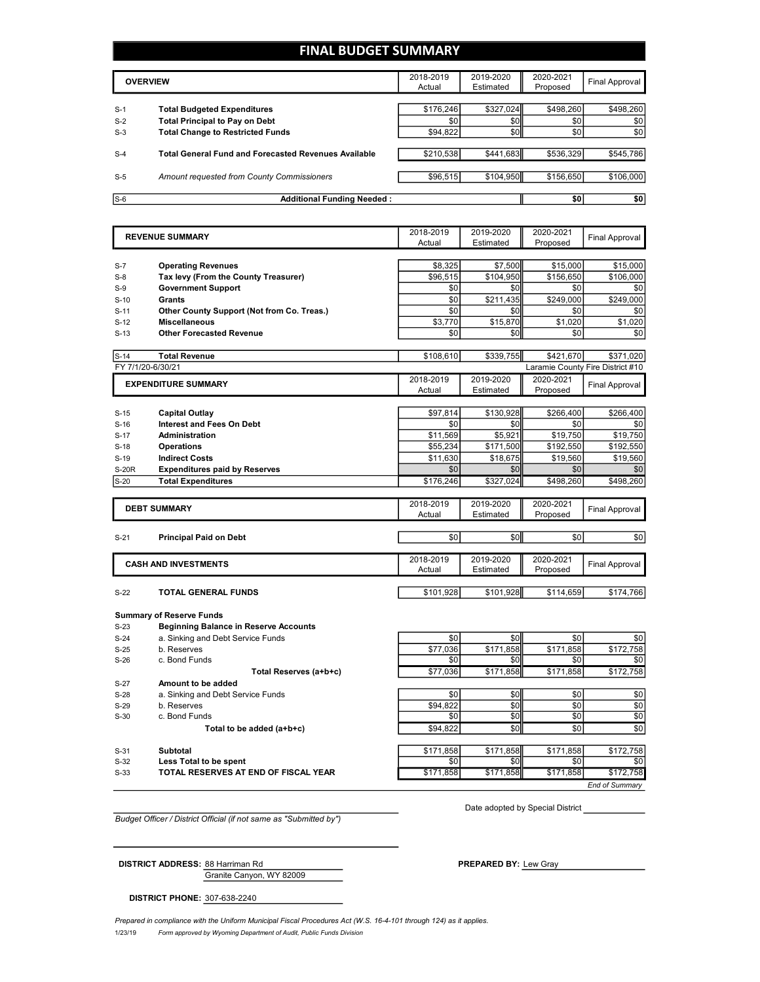## **FINAL BUDGET SUMMARY**

|       | <b>OVERVIEW</b>                                             | 2018-2019<br>Actual | 2019-2020<br>Estimated | 2020-2021<br>Proposed | Final Approval |
|-------|-------------------------------------------------------------|---------------------|------------------------|-----------------------|----------------|
|       |                                                             |                     |                        |                       |                |
| $S-1$ | <b>Total Budgeted Expenditures</b>                          | \$176.246           | \$327,024              | \$498.260             | \$498,260      |
| $S-2$ | <b>Total Principal to Pay on Debt</b>                       | \$0                 | \$0                    | \$0                   | \$0            |
| $S-3$ | <b>Total Change to Restricted Funds</b>                     | \$94,822            | \$0                    | \$0                   | \$0            |
|       |                                                             |                     |                        |                       |                |
| $S-4$ | <b>Total General Fund and Forecasted Revenues Available</b> | \$210,538           | \$441.683              | \$536.329             | \$545,786      |
|       |                                                             |                     |                        |                       |                |
| $S-5$ | Amount requested from County Commissioners                  | \$96,515            | \$104.950              | \$156,650             | \$106,000      |
|       |                                                             |                     |                        |                       |                |
| $S-6$ | <b>Additional Funding Needed:</b>                           |                     |                        | \$0                   | \$0            |

|                   | <b>REVENUE SUMMARY</b>                                            | 2018-2019           | 2019-2020              | 2020-2021             | <b>Final Approval</b>            |
|-------------------|-------------------------------------------------------------------|---------------------|------------------------|-----------------------|----------------------------------|
|                   |                                                                   | Actual              | Estimated              | Proposed              |                                  |
|                   |                                                                   |                     |                        |                       |                                  |
| $S-7$<br>$S-8$    | <b>Operating Revenues</b><br>Tax levy (From the County Treasurer) | \$8.325<br>\$96.515 | \$7,500<br>\$104,950   | \$15,000<br>\$156,650 | \$15,000<br>\$106,000            |
|                   | <b>Government Support</b>                                         | \$0                 | \$0                    | \$0                   | \$0                              |
| $S-9$             | Grants                                                            | \$0                 | \$211,435              | \$249,000             | \$249,000                        |
| $S-10$<br>$S-11$  | Other County Support (Not from Co. Treas.)                        | \$0                 | \$0                    | \$0                   | \$0                              |
| $S-12$            | <b>Miscellaneous</b>                                              | \$3,770             | \$15,870               | \$1,020               | \$1,020                          |
| $S-13$            | <b>Other Forecasted Revenue</b>                                   | \$0                 | \$0                    | \$0                   |                                  |
|                   |                                                                   |                     |                        |                       | \$0                              |
| $S-14$            | <b>Total Revenue</b>                                              | \$108,610           | \$339,755              | \$421.670             | \$371,020                        |
| FY 7/1/20-6/30/21 |                                                                   |                     |                        |                       | Laramie County Fire District #10 |
|                   | <b>EXPENDITURE SUMMARY</b>                                        | 2018-2019           | 2019-2020              | 2020-2021             | <b>Final Approval</b>            |
|                   |                                                                   | Actual              | Estimated              | Proposed              |                                  |
|                   |                                                                   | \$97,814            | \$130,928              | \$266,400             | \$266,400                        |
| $S-15$            | <b>Capital Outlay</b><br><b>Interest and Fees On Debt</b>         | \$0                 | \$0                    | \$0                   |                                  |
| $S-16$<br>$S-17$  | <b>Administration</b>                                             | \$11,569            | \$5.921                | \$19,750              | \$0<br>\$19,750                  |
| $S-18$            | Operations                                                        | \$55,234            | \$171,500              | \$192,550             | \$192,550                        |
| $S-19$            | <b>Indirect Costs</b>                                             | \$11,630            | \$18,675               | \$19,560              | \$19,560                         |
| <b>S-20R</b>      | <b>Expenditures paid by Reserves</b>                              | \$0                 | \$0                    | \$0                   | \$0                              |
|                   | <b>Total Expenditures</b>                                         | \$176,246           | \$327,024              | \$498,260             | \$498,260                        |
| $S-20$            |                                                                   |                     |                        |                       |                                  |
|                   |                                                                   | 2018-2019           | 2019-2020              | 2020-2021             |                                  |
|                   | <b>DEBT SUMMARY</b>                                               | Actual              | Estimated              | Proposed              | <b>Final Approval</b>            |
|                   |                                                                   |                     |                        |                       |                                  |
| $S-21$            | <b>Principal Paid on Debt</b>                                     | \$0                 | \$0                    | \$0                   | \$0                              |
|                   |                                                                   |                     |                        |                       |                                  |
|                   | <b>CASH AND INVESTMENTS</b>                                       | 2018-2019           | 2019-2020<br>Estimated | 2020-2021             | <b>Final Approval</b>            |
|                   |                                                                   | Actual              |                        | Proposed              |                                  |
| $S-22$            | <b>TOTAL GENERAL FUNDS</b>                                        | \$101,928           | \$101,928              | \$114,659             | \$174,766                        |
|                   |                                                                   |                     |                        |                       |                                  |
|                   | <b>Summary of Reserve Funds</b>                                   |                     |                        |                       |                                  |
| $S-23$            | <b>Beginning Balance in Reserve Accounts</b>                      |                     |                        |                       |                                  |
| $S-24$            | a. Sinking and Debt Service Funds                                 | \$0                 | \$0                    | \$0                   | \$0                              |
| $S-25$            | b. Reserves                                                       | \$77,036            | \$171,858              | \$171,858             | \$172,758                        |
| $S-26$            | c. Bond Funds                                                     | \$0                 | \$0                    | \$0                   | \$0                              |
|                   | Total Reserves (a+b+c)                                            | \$77,036            | \$171,858              | \$171,858             | \$172,758                        |
| $S-27$            | Amount to be added                                                |                     |                        |                       |                                  |
| $S-28$            | a. Sinking and Debt Service Funds                                 | \$0                 | \$0                    | \$0                   | \$0                              |
| $S-29$            | b. Reserves                                                       | \$94.822            | \$0                    | \$0                   | \$0                              |
| $S-30$            | c. Bond Funds                                                     | \$0                 | \$0                    | \$0                   | \$0                              |
|                   | Total to be added (a+b+c)                                         | \$94,822            | \$0                    | \$0                   | \$0                              |
| $S-31$            | <b>Subtotal</b>                                                   | \$171,858           | \$171,858              | \$171,858             | \$172,758                        |
| $S-32$            | Less Total to be spent                                            | \$0                 | \$0                    | \$0                   | \$0                              |
| $S-33$            | TOTAL RESERVES AT END OF FISCAL YEAR                              | \$171,858           | \$171,858              | \$171,858             | \$172,758                        |
|                   |                                                                   |                     |                        |                       |                                  |

*Budget Officer / District Official (if not same as "Submitted by")*

Date adopted by Special District

*End of Summary*

Granite Canyon, WY 82009 **DISTRICT ADDRESS:** 88 Harriman Rd **PREPARED BY:** Lew Gray

**DISTRICT PHONE:** 307-638-2240

1/23/19 *Form approved by Wyoming Department of Audit, Public Funds Division Prepared in compliance with the Uniform Municipal Fiscal Procedures Act (W.S. 16-4-101 through 124) as it applies.*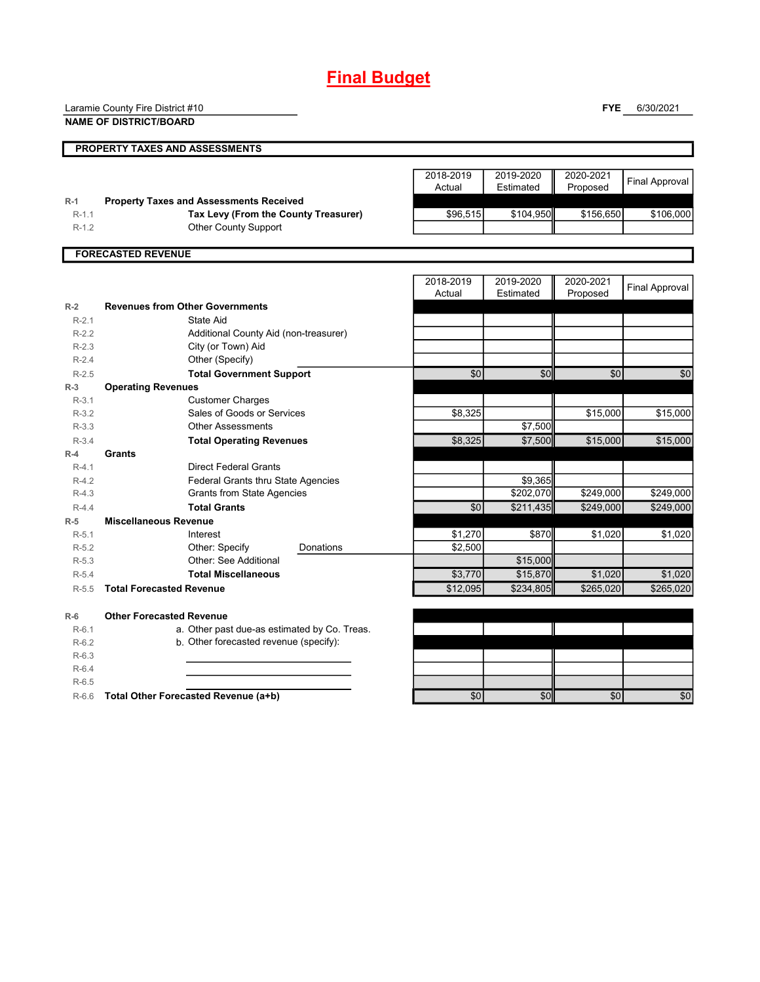## **Final Budget**

Laramie County Fire District #10

**NAME OF DISTRICT/BOARD**

**FYE** 6/30/2021

|                    | PROPERTY TAXES AND ASSESSMENTS                                                         |                     |                        |                       |                       |
|--------------------|----------------------------------------------------------------------------------------|---------------------|------------------------|-----------------------|-----------------------|
|                    |                                                                                        | 2018-2019<br>Actual | 2019-2020<br>Estimated | 2020-2021<br>Proposed | <b>Final Approval</b> |
| $R-1$<br>$R-1.1$   | <b>Property Taxes and Assessments Received</b><br>Tax Levy (From the County Treasurer) | \$96,515            | \$104,950              | \$156,650             | \$106,000             |
| $R-1.2$            | Other County Support                                                                   |                     |                        |                       |                       |
|                    | <b>FORECASTED REVENUE</b>                                                              |                     |                        |                       |                       |
|                    |                                                                                        | 2018-2019           | 2019-2020              | 2020-2021             |                       |
|                    |                                                                                        | Actual              | Estimated              | Proposed              | <b>Final Approval</b> |
| $R-2$              | <b>Revenues from Other Governments</b>                                                 |                     |                        |                       |                       |
| $R-2.1$            | State Aid                                                                              |                     |                        |                       |                       |
| $R-2.2$            | Additional County Aid (non-treasurer)                                                  |                     |                        |                       |                       |
| $R-2.3$            | City (or Town) Aid                                                                     |                     |                        |                       |                       |
| $R-2.4$            | Other (Specify)                                                                        |                     |                        |                       |                       |
| $R-2.5$            | <b>Total Government Support</b>                                                        | \$0                 | \$0                    | \$0                   | \$0                   |
| $R-3$              | <b>Operating Revenues</b>                                                              |                     |                        |                       |                       |
| $R-3.1$            | <b>Customer Charges</b>                                                                |                     |                        |                       |                       |
| $R-3.2$            | Sales of Goods or Services                                                             | \$8,325             |                        | \$15,000              | \$15,000              |
| $R-3.3$            | <b>Other Assessments</b>                                                               |                     | \$7,500                |                       |                       |
| $R-3.4$            | <b>Total Operating Revenues</b>                                                        | \$8,325             | \$7,500                | \$15,000              | \$15,000              |
| $R-4$              | Grants                                                                                 |                     |                        |                       |                       |
| $R-4.1$            | <b>Direct Federal Grants</b>                                                           |                     |                        |                       |                       |
| $R-4.2$<br>$R-4.3$ | Federal Grants thru State Agencies<br><b>Grants from State Agencies</b>                |                     | \$9,365<br>\$202,070   | \$249,000             | \$249,000             |
| $R-4.4$            | <b>Total Grants</b>                                                                    | \$0                 | \$211,435              | \$249,000             | \$249,000             |
| $R-5$              | <b>Miscellaneous Revenue</b>                                                           |                     |                        |                       |                       |
| $R-5.1$            | Interest                                                                               | \$1,270             | \$870                  | \$1,020               | \$1,020               |
| $R-5.2$            | Other: Specify<br>Donations                                                            | \$2,500             |                        |                       |                       |
| $R-5.3$            | Other: See Additional                                                                  |                     | \$15,000               |                       |                       |
| $R-5.4$            | <b>Total Miscellaneous</b>                                                             | \$3.770             | \$15,870               | \$1.020               | \$1.020               |
| $R-5.5$            | <b>Total Forecasted Revenue</b>                                                        | \$12,095            | \$234,805              | \$265,020             | \$265,020             |
| $R-6$              | <b>Other Forecasted Revenue</b>                                                        |                     |                        |                       |                       |
| $R-6.1$            | a. Other past due-as estimated by Co. Treas.                                           |                     |                        |                       |                       |
| $R-6.2$            | b. Other forecasted revenue (specify):                                                 |                     |                        |                       |                       |
| $R-6.3$            |                                                                                        |                     |                        |                       |                       |
| $R-6.4$            |                                                                                        |                     |                        |                       |                       |
| $R-6.5$            |                                                                                        |                     |                        |                       |                       |
|                    | Total Other Forecasted Revenue (a+b)                                                   | \$0                 | \$0                    | \$0                   | \$0                   |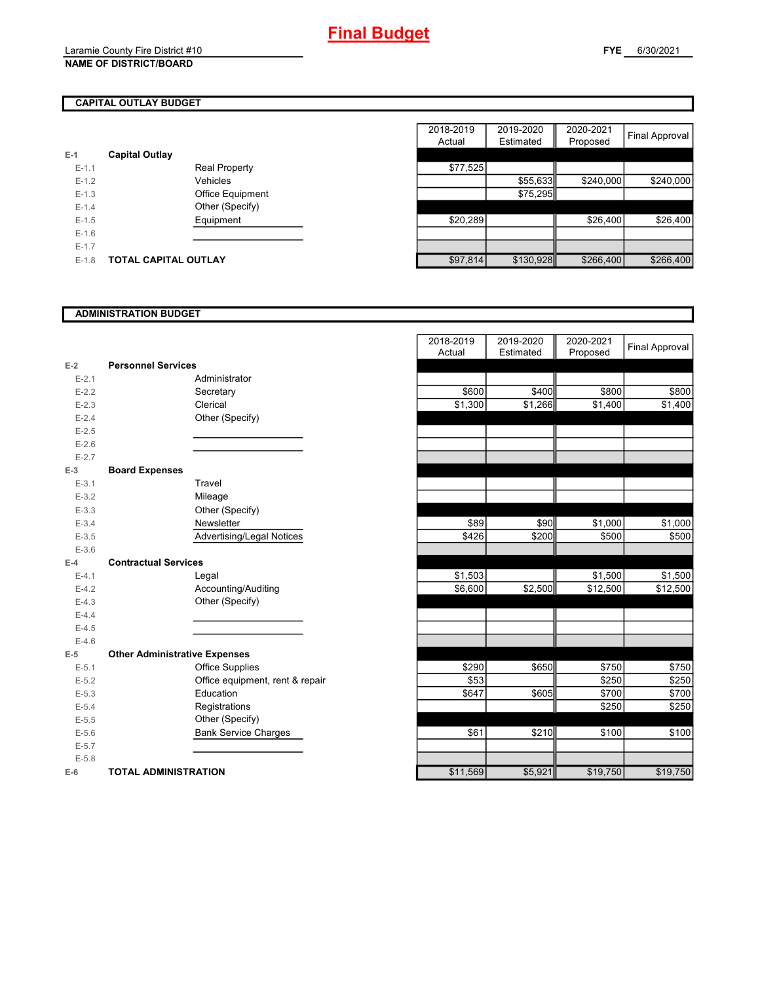## **CAPITAL OUTLAY BUDGET**

| $E-1$     | <b>Capital Outlay</b> |                      |          |           |
|-----------|-----------------------|----------------------|----------|-----------|
| $E-1.1$   |                       | <b>Real Property</b> | \$77,525 |           |
| $E-1.2$   |                       | Vehicles             |          | \$55,633  |
| $E-1.3$   |                       | Office Equipment     |          | \$75,295  |
| $E - 1.4$ |                       | Other (Specify)      |          |           |
| $E-1.5$   |                       | Equipment            | \$20,289 |           |
| $E-1.6$   |                       |                      |          |           |
| $E-1.7$   |                       |                      |          |           |
| $E-1.8$   | TOTAL CAPITAL OUTLAY  |                      | \$97,814 | \$130,928 |
|           |                       |                      |          |           |

|         |                             |                      | 2018-2019 | 2019-2020 | 2020-2021 |                |
|---------|-----------------------------|----------------------|-----------|-----------|-----------|----------------|
|         |                             |                      | Actual    | Estimated | Proposed  | Final Approval |
|         | <b>Capital Outlay</b>       |                      |           |           |           |                |
| $E-1.1$ |                             | <b>Real Property</b> | \$77,525  |           |           |                |
| $E-1.2$ |                             | Vehicles             |           | \$55,633  | \$240,000 | \$240,000      |
| $E-1.3$ |                             | Office Equipment     |           | \$75,295  |           |                |
| $E-1.4$ |                             | Other (Specify)      |           |           |           |                |
| $E-1.5$ |                             | Equipment            | \$20,289  |           | \$26,400  | \$26,400       |
| $E-1.6$ |                             |                      |           |           |           |                |
| $E-1.7$ |                             |                      |           |           |           |                |
| $E-1.8$ | <b>TOTAL CAPITAL OUTLAY</b> |                      | \$97,814  | \$130,928 | \$266,400 | \$266,400      |

### **ADMINISTRATION BUDGET**

| $E-2$     | <b>Personnel Services</b>            |                              |
|-----------|--------------------------------------|------------------------------|
| $E - 2.1$ |                                      | Administrator                |
| $E - 2.2$ |                                      | Secretary                    |
| $E - 2.3$ |                                      | Clerical                     |
| $E-2.4$   |                                      | Other (Specify)              |
| $E-2.5$   |                                      |                              |
| $E-2.6$   |                                      |                              |
| $E - 2.7$ |                                      |                              |
| $E-3$     | <b>Board Expenses</b>                |                              |
| $E - 3.1$ |                                      | Travel                       |
| $E - 3.2$ |                                      | Mileage                      |
| $E - 3.3$ |                                      | Other (Specify)              |
| $E - 3.4$ |                                      | Newsletter                   |
| $E - 3.5$ |                                      | Advertising/Legal Notices    |
| $E - 3.6$ |                                      |                              |
| $F-4$     | <b>Contractual Services</b>          |                              |
| $E-4.1$   |                                      | Legal                        |
| $E-4.2$   |                                      | Accounting/Auditing          |
| $E-4.3$   |                                      | Other (Specify)              |
| $E-4.4$   |                                      |                              |
| $E-4.5$   |                                      |                              |
| $E-4.6$   |                                      |                              |
| $E-5$     | <b>Other Administrative Expenses</b> |                              |
| $E - 5.1$ |                                      | <b>Office Supplies</b>       |
| $E - 5.2$ |                                      | Office equipment, rent & rep |
| $E - 5.3$ |                                      | Education                    |
| $E - 5.4$ |                                      | Registrations                |
| $E - 5.5$ |                                      | Other (Specify)              |
| $E - 5.6$ |                                      | <b>Bank Service Charges</b>  |
| $E - 5.7$ |                                      |                              |
| $E - 5.8$ |                                      |                              |
| $E-6$     | <b>TOTAL ADMINISTRATION</b>          |                              |

|           |                                      | 2018-2019<br>Actual | 2019-2020<br>Estimated | 2020-2021<br>Proposed | <b>Final Approval</b> |
|-----------|--------------------------------------|---------------------|------------------------|-----------------------|-----------------------|
| 2         | <b>Personnel Services</b>            |                     |                        |                       |                       |
| $E - 2.1$ | Administrator                        |                     |                        |                       |                       |
| $E - 2.2$ | Secretary                            | \$600               | \$400                  | \$800                 | \$800                 |
| $E - 2.3$ | Clerical                             | \$1,300             | \$1,266                | \$1,400               | \$1,400               |
| $E - 2.4$ | Other (Specify)                      |                     |                        |                       |                       |
| $E-2.5$   |                                      |                     |                        |                       |                       |
| $E - 2.6$ |                                      |                     |                        |                       |                       |
| $E - 2.7$ |                                      |                     |                        |                       |                       |
| š.        | <b>Board Expenses</b>                |                     |                        |                       |                       |
| $E - 3.1$ | Travel                               |                     |                        |                       |                       |
| $E - 3.2$ | Mileage                              |                     |                        |                       |                       |
| $E - 3.3$ | Other (Specify)                      |                     |                        |                       |                       |
| $E - 3.4$ | Newsletter                           | \$89                | \$90                   | \$1,000               | \$1,000               |
| $E-3.5$   | <b>Advertising/Legal Notices</b>     | \$426               | \$200                  | \$500                 | \$500                 |
| $E - 3.6$ |                                      |                     |                        |                       |                       |
| ı.        | <b>Contractual Services</b>          |                     |                        |                       |                       |
| $E - 4.1$ | Legal                                | \$1,503             |                        | \$1,500               | \$1,500               |
| $E - 4.2$ | Accounting/Auditing                  | \$6,600             | \$2,500                | \$12,500              | \$12,500              |
| $E - 4.3$ | Other (Specify)                      |                     |                        |                       |                       |
| $E - 4.4$ |                                      |                     |                        |                       |                       |
| $E-4.5$   |                                      |                     |                        |                       |                       |
| $E - 4.6$ |                                      |                     |                        |                       |                       |
| 5         | <b>Other Administrative Expenses</b> |                     |                        |                       |                       |
| $E - 5.1$ | <b>Office Supplies</b>               | \$290               | \$650                  | \$750                 | \$750                 |
| $E - 5.2$ | Office equipment, rent & repair      | \$53                |                        | \$250                 | \$250                 |
| $E - 5.3$ | Education                            | \$647               | \$605                  | \$700                 | \$700                 |
| $E - 5.4$ | Registrations                        |                     |                        | \$250                 | \$250                 |
| $E - 5.5$ | Other (Specify)                      |                     |                        |                       |                       |
| $E - 5.6$ | <b>Bank Service Charges</b>          | \$61                | \$210                  | \$100                 | \$100                 |
| $E - 5.7$ |                                      |                     |                        |                       |                       |
| $E - 5.8$ |                                      |                     |                        |                       |                       |
| î         | <b>TOTAL ADMINISTRATION</b>          | \$11,569            | \$5,921                | \$19,750              | \$19,750              |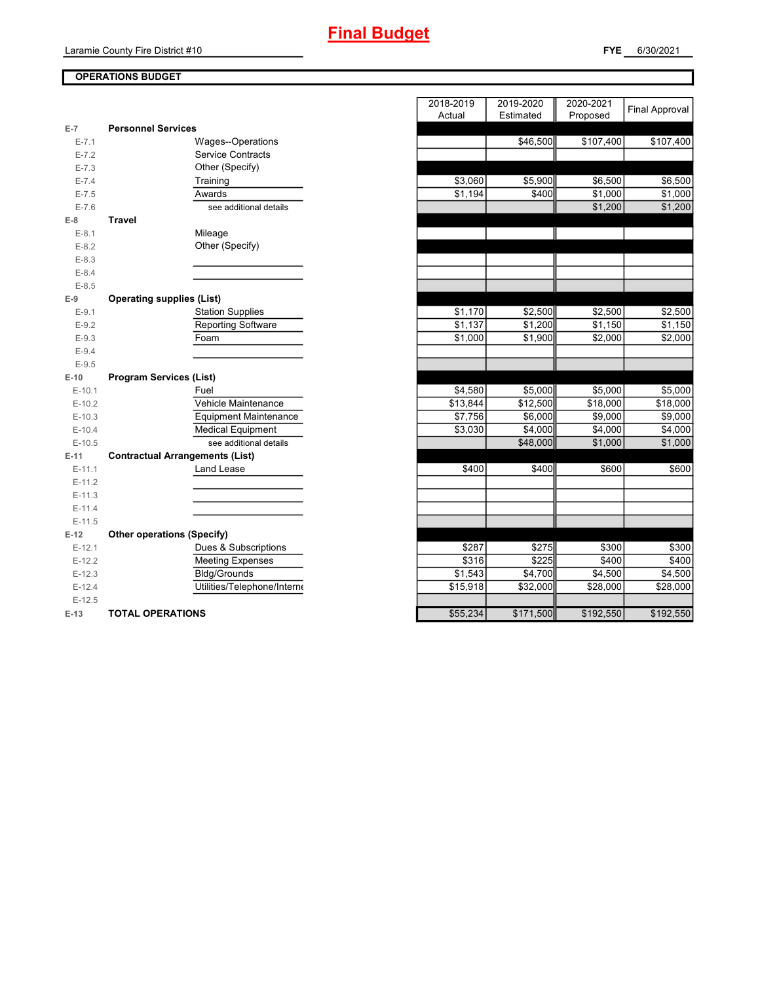## **Final Budget**

**FYE** 6/30/2021

## **OPERATIONS BUDGET**

| $E-7$     | <b>Personnel Services</b>              |
|-----------|----------------------------------------|
| $E - 7.1$ | Wages--Operations                      |
| $E - 7.2$ | <b>Service Contracts</b>               |
| $E - 7.3$ | Other (Specify)                        |
| $E - 7.4$ | Training                               |
| $E - 7.5$ | Awards                                 |
| $E - 7.6$ | see additional details                 |
| E-8       | <b>Travel</b>                          |
| $E-8.1$   | Mileage                                |
| $E - 8.2$ | Other (Specify)                        |
| $E-8.3$   |                                        |
| $E - 8.4$ |                                        |
| $E - 8.5$ |                                        |
| $E-9$     | <b>Operating supplies (List)</b>       |
| $E-9.1$   | <b>Station Supplies</b>                |
| $E-9.2$   | <b>Reporting Software</b>              |
| $E-9.3$   | Foam                                   |
| $E - 9.4$ |                                        |
| $E-9.5$   |                                        |
| $E-10$    | <b>Program Services (List)</b>         |
| $E-10.1$  | Fuel                                   |
| $E-10.2$  | Vehicle Maintenance                    |
| $E-10.3$  | <b>Equipment Maintenance</b>           |
| $E-10.4$  | <b>Medical Equipment</b>               |
| $E-10.5$  | see additional details                 |
| $E-11$    | <b>Contractual Arrangements (List)</b> |
| $E-11.1$  | <b>Land Lease</b>                      |
| $E-11.2$  |                                        |
| $E-11.3$  |                                        |
| $E-11.4$  |                                        |
| $E-11.5$  |                                        |
| $E-12$    | <b>Other operations (Specify)</b>      |
| $E-12.1$  | Dues & Subscriptions                   |
| $E-12.2$  | <b>Meeting Expenses</b>                |
| $E-12.3$  | <b>Bldg/Grounds</b>                    |
| $E-12.4$  | Utilities/Telephone/Interne            |
| $E-12.5$  |                                        |
| $E-13$    | <b>TOTAL OPERATIONS</b>                |

|                |                                        | 2018-2019 | 2019-2020 | 2020-2021 |                       |
|----------------|----------------------------------------|-----------|-----------|-----------|-----------------------|
|                |                                        | Actual    | Estimated | Proposed  | <b>Final Approval</b> |
| $\overline{7}$ | <b>Personnel Services</b>              |           |           |           |                       |
| $E - 7.1$      | Wages--Operations                      |           | \$46,500  | \$107,400 | \$107,400             |
| $E - 7.2$      | <b>Service Contracts</b>               |           |           |           |                       |
| $E - 7.3$      | Other (Specify)                        |           |           |           |                       |
| $E - 7.4$      | Training                               | \$3,060   | \$5,900   | \$6,500   | \$6,500               |
| $E - 7.5$      | Awards                                 | \$1,194   | \$400     | \$1,000   | \$1,000               |
| $E - 7.6$      | see additional details                 |           |           | \$1,200   | \$1,200               |
| 8              | <b>Travel</b>                          |           |           |           |                       |
| $E-8.1$        | Mileage                                |           |           |           |                       |
| $E-8.2$        | Other (Specify)                        |           |           |           |                       |
| $E - 8.3$      |                                        |           |           |           |                       |
| $E - 8.4$      |                                        |           |           |           |                       |
| $E - 8.5$      |                                        |           |           |           |                       |
| 9              | <b>Operating supplies (List)</b>       |           |           |           |                       |
| $E-9.1$        | <b>Station Supplies</b>                | \$1,170   | \$2,500   | \$2,500   | \$2,500               |
| $E-9.2$        | Reporting Software                     | \$1,137   | \$1,200   | \$1,150   | \$1,150               |
| $E - 9.3$      | Foam                                   | \$1,000   | \$1,900   | \$2,000   | \$2,000               |
| $E-9.4$        |                                        |           |           |           |                       |
| $E - 9.5$      |                                        |           |           |           |                       |
| $-10$          | <b>Program Services (List)</b>         |           |           |           |                       |
| $E-10.1$       | Fuel                                   | \$4,580   | \$5,000   | \$5,000   | \$5,000               |
| $E-10.2$       | Vehicle Maintenance                    | \$13,844  | \$12,500  | \$18,000  | \$18,000              |
| $E-10.3$       | <b>Equipment Maintenance</b>           | \$7,756   | \$6,000   | \$9,000   | \$9,000               |
| $E-10.4$       | <b>Medical Equipment</b>               | \$3,030   | \$4,000   | \$4,000   | \$4,000               |
| $E-10.5$       | see additional details                 |           | \$48,000  | \$1,000   | \$1,000               |
| -11            | <b>Contractual Arrangements (List)</b> |           |           |           |                       |
| $E-11.1$       | Land Lease                             | \$400     | \$400     | \$600     | \$600                 |
| $E-11.2$       |                                        |           |           |           |                       |
| $E-11.3$       |                                        |           |           |           |                       |
| $E-11.4$       |                                        |           |           |           |                       |
| $E-11.5$       |                                        |           |           |           |                       |
| 12             | <b>Other operations (Specify)</b>      |           |           |           |                       |
| $E-12.1$       | Dues & Subscriptions                   | \$287     | \$275     | \$300     | \$300                 |
| $E-12.2$       | <b>Meeting Expenses</b>                | \$316     | \$225     | \$400     | \$400                 |
| $E-12.3$       | Bldg/Grounds                           | \$1,543   | \$4,700   | \$4,500   | \$4,500               |
| $E-12.4$       | Utilities/Telephone/Interne            | \$15,918  | \$32,000  | \$28,000  | \$28,000              |
| $E-12.5$       |                                        |           |           |           |                       |
| $13 -$         | TOTAL OPERATIONS                       | \$55 234  | \$171500  | \$19250   | \$19250               |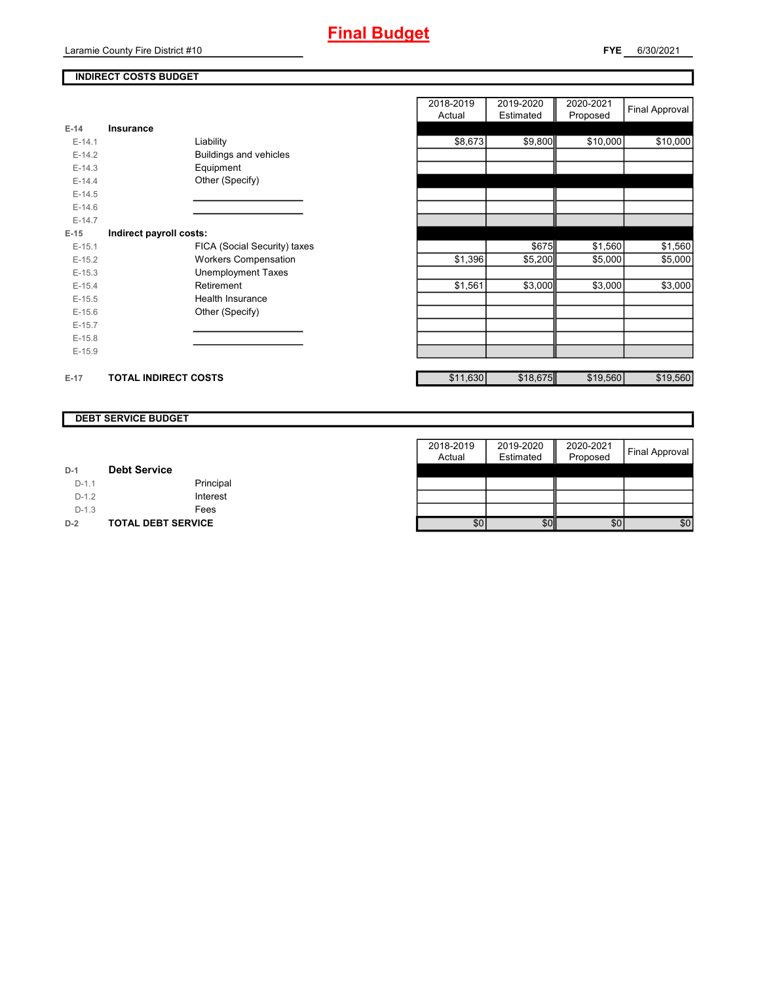## **INDIRECT COSTS BUDGET**

| $E-14$   | Insurance                   |                               |
|----------|-----------------------------|-------------------------------|
| $E-14.1$ |                             | Liability                     |
| $E-14.2$ |                             | <b>Buildings and vehicles</b> |
| $F-14.3$ |                             | Equipment                     |
| $E-14.4$ |                             | Other (Specify)               |
| $F-14.5$ |                             |                               |
| $F-146$  |                             |                               |
| $F-147$  |                             |                               |
| E-15     | Indirect payroll costs:     |                               |
| $E-15.1$ |                             | FICA (Social Security) taxes  |
| $E-15.2$ |                             | <b>Workers Compensation</b>   |
| $E-15.3$ |                             | <b>Unemployment Taxes</b>     |
| $F-154$  |                             | Retirement                    |
| $E-15.5$ |                             | Health Insurance              |
| $E-15.6$ |                             | Other (Specify)               |
| $E-15.7$ |                             |                               |
| $E-15.8$ |                             |                               |
| $E-15.9$ |                             |                               |
|          |                             |                               |
| $E-17$   | <b>TOTAL INDIRECT COSTS</b> |                               |

|          |                             |                               | 2018-2019 | 2019-2020 | 2020-2021 | Final Approval |
|----------|-----------------------------|-------------------------------|-----------|-----------|-----------|----------------|
|          |                             |                               | Actual    | Estimated | Proposed  |                |
| 14       | Insurance                   |                               |           |           |           |                |
| $E-14.1$ |                             | Liability                     | \$8,673   | \$9,800   | \$10,000  | \$10,000       |
| $E-14.2$ |                             | <b>Buildings and vehicles</b> |           |           |           |                |
| $E-14.3$ |                             | Equipment                     |           |           |           |                |
| $E-14.4$ |                             | Other (Specify)               |           |           |           |                |
| $E-14.5$ |                             |                               |           |           |           |                |
| $E-14.6$ |                             |                               |           |           |           |                |
| $E-14.7$ |                             |                               |           |           |           |                |
| 15       | Indirect payroll costs:     |                               |           |           |           |                |
| $E-15.1$ |                             | FICA (Social Security) taxes  |           | \$675     | \$1,560   | \$1,560        |
| $E-15.2$ |                             | <b>Workers Compensation</b>   | \$1,396   | \$5,200   | \$5,000   | \$5,000        |
| $E-15.3$ |                             | <b>Unemployment Taxes</b>     |           |           |           |                |
| $E-15.4$ |                             | Retirement                    | \$1,561   | \$3,000   | \$3,000   | \$3,000        |
| $E-15.5$ |                             | Health Insurance              |           |           |           |                |
| $E-15.6$ |                             | Other (Specify)               |           |           |           |                |
| $E-15.7$ |                             |                               |           |           |           |                |
| $E-15.8$ |                             |                               |           |           |           |                |
| $E-15.9$ |                             |                               |           |           |           |                |
| $-17$    | <b>TOTAL INDIRECT COSTS</b> |                               | \$11,630  | \$18,675  | \$19,560  | \$19,560       |

#### **DEBT SERVICE BUDGET**

|         |                           | 2018-2019 | 2019-2020 | 2020-2021 |                |
|---------|---------------------------|-----------|-----------|-----------|----------------|
|         |                           | Actual    | Estimated | Proposed  | Final Approval |
| $D-1$   | <b>Debt Service</b>       |           |           |           |                |
| $D-1.1$ | Principal                 |           |           |           |                |
| $D-1.2$ | Interest                  |           |           |           |                |
| $D-1.3$ | Fees                      |           |           |           |                |
| $D-2$   | <b>TOTAL DEBT SERVICE</b> | \$0       | \$0       | \$0       | \$0            |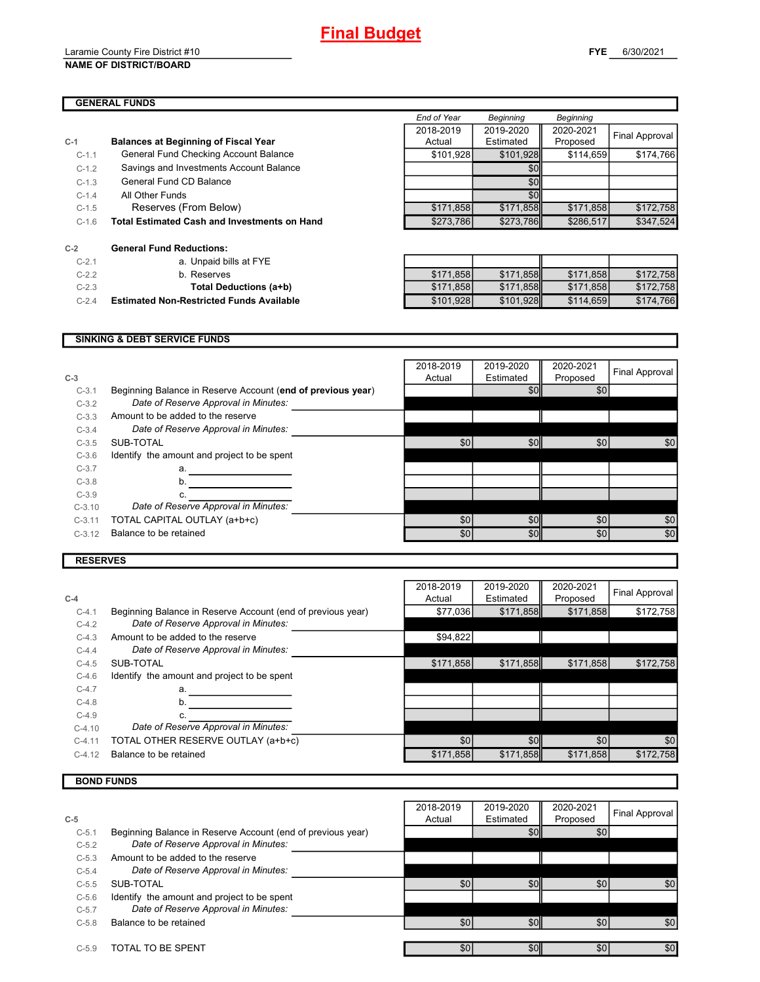#### Laramie County Fire District #10 **NAME OF DISTRICT/BOARD**

## **GENERAL FUNDS**

|         | ,,,,,,,,,,,,,,,,,,                                  |             |                  |                  |                |
|---------|-----------------------------------------------------|-------------|------------------|------------------|----------------|
|         |                                                     | End of Year | <b>Beginning</b> | <b>Beginning</b> |                |
|         |                                                     | 2018-2019   | 2019-2020        | 2020-2021        | Final Approval |
|         | <b>Balances at Beginning of Fiscal Year</b>         | Actual      | Estimated        | Proposed         |                |
| $C-1.1$ | General Fund Checking Account Balance               | \$101,928   | \$101.928        | \$114.659        | \$174,766      |
| $C-1.2$ | Savings and Investments Account Balance             |             | \$0              |                  |                |
| $C-1.3$ | General Fund CD Balance                             |             | \$0              |                  |                |
| $C-1.4$ | All Other Funds                                     |             | \$0              |                  |                |
| $C-1.5$ | Reserves (From Below)                               | \$171,858   | \$171,858        | \$171,858        | \$172,758      |
| $C-1.6$ | <b>Total Estimated Cash and Investments on Hand</b> | \$273.786   | \$273.786        | \$286,517        | \$347.524      |

| $C-2.1$ | a. Unpaid bills at FYE                          |           |           |           |           |
|---------|-------------------------------------------------|-----------|-----------|-----------|-----------|
| $C-2.2$ | b. Reserves                                     | \$171.858 | \$171.858 | \$171.858 | \$172,758 |
| $C-2.3$ | Total Deductions (a+b)                          | \$171.858 | \$171,858 | \$171.858 | \$172,758 |
| $C-2.4$ | <b>Estimated Non-Restricted Funds Available</b> | \$101,928 | \$101,928 | \$114.659 | \$174,766 |

#### **SINKING & DEBT SERVICE FUNDS**

| Beginning Balance in Reserve Account (end of previous year)<br>\$0<br>\$0<br>$C-3.1$<br>Date of Reserve Approval in Minutes:<br>$C-3.2$<br>Amount to be added to the reserve<br>$C-3.3$<br>Date of Reserve Approval in Minutes:<br>$C-3.4$<br>\$0 <sub>1</sub><br>\$0<br>\$0<br>\$0<br>SUB-TOTAL<br>$C-3.5$<br>Identify the amount and project to be spent<br>$C-3.6$<br>$C-3.7$<br>a.<br>$C-3.8$<br>b.<br>$C-3.9$<br>Date of Reserve Approval in Minutes:<br>$C-3.10$<br>\$0<br>\$0<br>\$0<br>\$0<br>TOTAL CAPITAL OUTLAY (a+b+c)<br>$C-3.11$<br>Balance to be retained<br>\$0<br>\$0<br>\$0<br>\$0<br>$C-3.12$ | $C-3$ | 2018-2019<br>Actual | 2019-2020<br>Estimated | 2020-2021<br>Proposed | Final Approval |
|------------------------------------------------------------------------------------------------------------------------------------------------------------------------------------------------------------------------------------------------------------------------------------------------------------------------------------------------------------------------------------------------------------------------------------------------------------------------------------------------------------------------------------------------------------------------------------------------------------------|-------|---------------------|------------------------|-----------------------|----------------|
|                                                                                                                                                                                                                                                                                                                                                                                                                                                                                                                                                                                                                  |       |                     |                        |                       |                |
|                                                                                                                                                                                                                                                                                                                                                                                                                                                                                                                                                                                                                  |       |                     |                        |                       |                |
|                                                                                                                                                                                                                                                                                                                                                                                                                                                                                                                                                                                                                  |       |                     |                        |                       |                |
|                                                                                                                                                                                                                                                                                                                                                                                                                                                                                                                                                                                                                  |       |                     |                        |                       |                |
|                                                                                                                                                                                                                                                                                                                                                                                                                                                                                                                                                                                                                  |       |                     |                        |                       |                |
|                                                                                                                                                                                                                                                                                                                                                                                                                                                                                                                                                                                                                  |       |                     |                        |                       |                |
|                                                                                                                                                                                                                                                                                                                                                                                                                                                                                                                                                                                                                  |       |                     |                        |                       |                |
|                                                                                                                                                                                                                                                                                                                                                                                                                                                                                                                                                                                                                  |       |                     |                        |                       |                |
|                                                                                                                                                                                                                                                                                                                                                                                                                                                                                                                                                                                                                  |       |                     |                        |                       |                |
|                                                                                                                                                                                                                                                                                                                                                                                                                                                                                                                                                                                                                  |       |                     |                        |                       |                |
|                                                                                                                                                                                                                                                                                                                                                                                                                                                                                                                                                                                                                  |       |                     |                        |                       |                |
|                                                                                                                                                                                                                                                                                                                                                                                                                                                                                                                                                                                                                  |       |                     |                        |                       |                |

### **RESERVES**

| \$171,858<br>\$171,858<br>Beginning Balance in Reserve Account (end of previous year)<br>\$77,036<br>$C-4.1$<br>Date of Reserve Approval in Minutes:<br>$C-4.2$<br>Amount to be added to the reserve<br>\$94,822<br>$C-4.3$<br>Date of Reserve Approval in Minutes:<br>$C-4.4$<br>\$171,858<br>\$171,858<br>\$171,858<br>SUB-TOTAL<br>$C-4.5$<br>Identify the amount and project to be spent<br>$C-4.6$<br>$C-4.7$<br>a.<br>$C-4.8$<br>b.<br>$C-4.9$<br>Date of Reserve Approval in Minutes:<br>$C-4.10$<br>TOTAL OTHER RESERVE OUTLAY (a+b+c)<br>\$0<br>\$0<br>\$0<br>$C-4.11$<br>Balance to be retained<br>\$171,858<br>\$171,858<br>\$171,858<br>$C-4.12$ | $C-4$ | 2018-2019<br>Actual | 2019-2020<br>Estimated | 2020-2021<br>Proposed | Final Approval |
|--------------------------------------------------------------------------------------------------------------------------------------------------------------------------------------------------------------------------------------------------------------------------------------------------------------------------------------------------------------------------------------------------------------------------------------------------------------------------------------------------------------------------------------------------------------------------------------------------------------------------------------------------------------|-------|---------------------|------------------------|-----------------------|----------------|
|                                                                                                                                                                                                                                                                                                                                                                                                                                                                                                                                                                                                                                                              |       |                     |                        |                       | \$172,758      |
|                                                                                                                                                                                                                                                                                                                                                                                                                                                                                                                                                                                                                                                              |       |                     |                        |                       |                |
|                                                                                                                                                                                                                                                                                                                                                                                                                                                                                                                                                                                                                                                              |       |                     |                        |                       |                |
|                                                                                                                                                                                                                                                                                                                                                                                                                                                                                                                                                                                                                                                              |       |                     |                        |                       |                |
|                                                                                                                                                                                                                                                                                                                                                                                                                                                                                                                                                                                                                                                              |       |                     |                        |                       | \$172.758      |
|                                                                                                                                                                                                                                                                                                                                                                                                                                                                                                                                                                                                                                                              |       |                     |                        |                       |                |
|                                                                                                                                                                                                                                                                                                                                                                                                                                                                                                                                                                                                                                                              |       |                     |                        |                       |                |
|                                                                                                                                                                                                                                                                                                                                                                                                                                                                                                                                                                                                                                                              |       |                     |                        |                       |                |
|                                                                                                                                                                                                                                                                                                                                                                                                                                                                                                                                                                                                                                                              |       |                     |                        |                       |                |
|                                                                                                                                                                                                                                                                                                                                                                                                                                                                                                                                                                                                                                                              |       |                     |                        |                       |                |
|                                                                                                                                                                                                                                                                                                                                                                                                                                                                                                                                                                                                                                                              |       |                     |                        |                       | \$0            |
|                                                                                                                                                                                                                                                                                                                                                                                                                                                                                                                                                                                                                                                              |       |                     |                        |                       | \$172,758      |

## **BOND FUNDS**

|         |                                                             | 2018-2019        | 2019-2020        | 2020-2021        |                |
|---------|-------------------------------------------------------------|------------------|------------------|------------------|----------------|
| $C-5$   |                                                             | Actual           | Estimated        | Proposed         | Final Approval |
| $C-5.1$ | Beginning Balance in Reserve Account (end of previous year) |                  | \$0 <sub>1</sub> | \$0              |                |
| $C-5.2$ | Date of Reserve Approval in Minutes:                        |                  |                  |                  |                |
| $C-5.3$ | Amount to be added to the reserve                           |                  |                  |                  |                |
| $C-5.4$ | Date of Reserve Approval in Minutes:                        |                  |                  |                  |                |
| $C-5.5$ | SUB-TOTAL                                                   | \$0              | \$0              | \$0              | \$0            |
| $C-5.6$ | Identify the amount and project to be spent                 |                  |                  |                  |                |
| $C-5.7$ | Date of Reserve Approval in Minutes:                        |                  |                  |                  |                |
| $C-5.8$ | Balance to be retained                                      | \$0 <sub>1</sub> | \$0              | \$0 <sub>1</sub> | \$0            |
|         |                                                             |                  |                  |                  |                |
| $C-5.9$ | TOTAL TO BE SPENT                                           | \$0 <sub>1</sub> | \$0              | \$0              | \$0            |

**FYE** 6/30/2021

**C-1 Balances at Beginning of Fiscal Year**

**C-2 General Fund Reductions:**